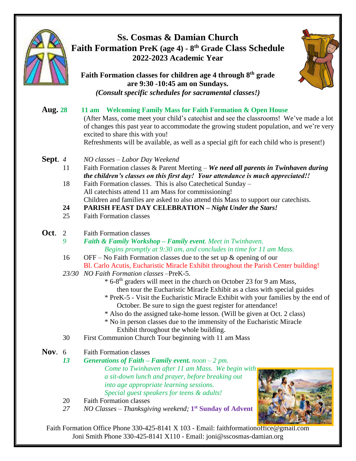



Faith Formation Office Phone 330-425-8141 X 103 - Email: faithformationoffice@gmail.com Joni Smith Phone 330-425-8141 X110 - Email: joni@sscosmas-damian.org